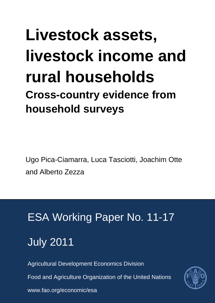## **Livestock assets, livestock income and rural households Cross-country evidence from household surveys**

Ugo Pica-Ciamarra, Luca Tasciotti, Joachim Otte and Alberto Zezza

# ESA Working Paper No. 11-17 July 2011

Agricultural Development Economics Division

Food and Agriculture Organization of the United Nations



www.fao.org/economic/esa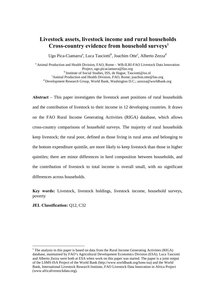#### **Livestock assets, livestock income and rural households** Cross-country evidence from household surveys<sup>1</sup>

Ugo Pica-Ciamarra<sup>a</sup>, Luca Tasciotti<sup>b</sup>, Joachim Otte<sup>c</sup>, Alberto Zezza<sup>d</sup>

<sup>a</sup> Animal Production and Health Division, FAO, Rome – WB-ILRI-FAO Livestock Data Innovation<br>Project, ugo.picaciamarra@fao.org <sup>b</sup> Institute of Social Studies, ISS, de Hague, Tasciotti@iss.nl <sup>c</sup>Animal Production and Health Division, FAO, Rome; joachim.otte@fao.org  $\alpha$ <sup>d</sup> Development Research Group, World Bank, Washington D.C.; azezza@worldbank.org

**Abstract** – This paper investigates the livestock asset positions of rural households and the contribution of livestock to their income in 12 developing countries. It draws on the FAO Rural Income Generating Activities (RIGA) database, which allows cross-country comparisons of household surveys. The majority of rural households keep livestock; the rural poor, defined as those living in rural areas and belonging to the bottom expenditure quintile, are more likely to keep livestock than those in higher quintiles; there are minor differences in herd composition between households, and the contribution of livestock to total income is overall small, with no significant differences across households.

**Key words:** Livestock, livestock holdings, livestock income, household surveys, poverty

#### **JEL Classification:** Q12, C32

<u>.</u>

<span id="page-1-0"></span><sup>&</sup>lt;sup>1</sup> The analysis in this paper is based on data from the Rural Income Generating Activities (RIGA) database, maintained by FAO's Agricultural Development Economics Division (ESA). Luca Tasciotti and Alberto Zezza were both at ESA when work on this paper was started. The paper is a joint output of the LSMS-ISA Project of the World Bank (http://www.worldbank.org/lsms-isa) and the World Bank, International Livestock Research Institute, FAO Livestock Data Innovation in Africa Project (www.africalivestockdata.org).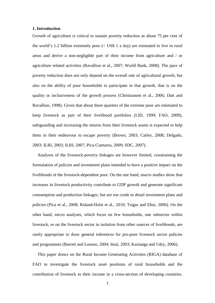#### **1. Introduction**

Growth of agriculture is critical to sustain poverty reduction as about 75 per cent of the world's 1.2 billion extremely poor (< US\$ 1 a day) are estimated to live in rural areas and derive a non-negligible part of their income from agriculture and / or agriculture related activities (Ravallion et al., 2007; World Bank, 2008). The pace of poverty reduction does not only depend on the overall rate of agricultural growth, but also on the ability of poor households to participate in that growth, that is on the quality or inclusiveness of the growth process (Christiansen et al., 2006; Datt and Ravallion, 1998). Given that about three quarters of the extreme poor are estimated to keep livestock as part of their livelihood portfolios (LID, 1999; FAO, 2009), safeguarding and increasing the returns from their livestock assets is expected to help them in their endeavour to escape poverty (Brown, 2003; Catley, 2008; Delgado, 2003; ILRI, 2003; ILRI, 2007; Pica-Ciamarra, 2009; SDC, 2007).

Analyses of the livestock-poverty linkages are however limited, constraining the formulation of policies and investment plans intended to have a positive impact on the livelihoods of the livestock-dependent poor. On the one hand, macro studies show that increases in livestock productivity contribute to GDP growth and generate significant consumption and production linkages, but are too crude to detail investment plans and policies (Pica et al., 2008; Roland-Holst et al., 2010; Tsigas and Ehui, 2006). On the other hand, micro analyses, which focus on few households, one subsector within livestock, or on the livestock sector in isolation from other sources of livelihoods, are rarely appropriate to draw general inferences for pro-poor livestock sector policies and programmes (Barrett and Luseno, 2004; Imai, 2003; Kazianga and Udry, 2006).

This paper draws on the Rural Income Generating Activities (RIGA) database of FAO to investigate the livestock asset positions of rural households and the contribution of livestock to their income in a cross-section of developing countries.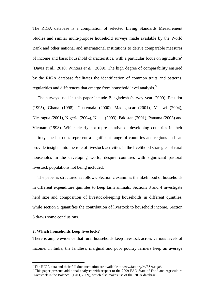The RIGA database is a compilation of selected Living Standards Measurement Studies and similar multi-purpose household surveys made available by the World Bank and other national and international institutions to derive comparable measures of income and basic household characteristics, with a particular focus on agriculture<sup>[2](#page-3-0)</sup> (Davis et al., 2010; Winters *et al.*, 2009). The high degree of comparability ensured by the RIGA database facilitates the identification of common traits and patterns, regularities and differences that emerge from household level analysis.<sup>[3](#page-3-1)</sup>

The surveys used in this paper include Bangladesh (survey year: 2000), Ecuador (1995), Ghana (1998), Guatemala (2000), Madagascar (2001), Malawi (2004), Nicaragua (2001), Nigeria (2004), Nepal (2003), Pakistan (2001), Panama (2003) and Vietnam (1998). While clearly not representative of developing countries in their entirety, the list does represent a significant range of countries and regions and can provide insights into the role of livestock activities in the livelihood strategies of rural households in the developing world, despite countries with significant pastoral livestock populations not being included.

The paper is structured as follows. Section 2 examines the likelihood of households in different expenditure quintiles to keep farm animals. Sections 3 and 4 investigate herd size and composition of livestock-keeping households in different quintiles, while section 5 quantifies the contribution of livestock to household income. Section 6 draws some conclusions.

#### **2. Which households keep livestock?**

-

There is ample evidence that rural households keep livestock across various levels of income. In India, the landless, marginal and poor poultry farmers keep an average

<span id="page-3-1"></span><span id="page-3-0"></span><sup>&</sup>lt;sup>2</sup> The RIGA data and their full documentation are available at www.fao.org/es/ESA/riga/.<br><sup>3</sup> This paper presents additional analyses with respect to the 2009 FAO State of Food and Agriculture 'Livestock in the Balance' (FAO, 2009), which also makes use of the RIGA database.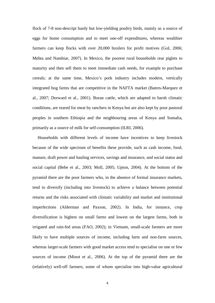flock of 7-8 non-descript hardy but low-yielding poultry birds, mainly as a source of eggs for home consumption and to meet one-off expenditures, whereas wealthier farmers can keep flocks with over 20,000 broilers for profit motives (GoI, 2006; Mehta and Nambiar, 2007). In Mexico, the poorest rural households rear piglets to maturity and then sell them to meet immediate cash needs, for example to purchase cereals; at the same time, Mexico's pork industry includes modern, vertically integrated hog farms that are competitive in the NAFTA market (Batres-Marquez et al., 2007; Dorward et al., 2001). Boran cattle, which are adapted to harsh climatic conditions, are reared for meat by ranchers in Kenya but are also kept by poor pastoral peoples in southern Ethiopia and the neighbouring areas of Kenya and Somalia, primarily as a source of milk for self-consumption (ILRI, 2006).

Households with different levels of income have incentives to keep livestock because of the wide spectrum of benefits these provide, such as cash income, food, manure, draft power and hauling services, savings and insurance, and social status and social capital (Bebe et al., 2003; Moll, 2005; Upton, 2004). At the bottom of the pyramid there are the poor farmers who, in the absence of formal insurance markets, tend to diversify (including into livestock) to achieve a balance between potential returns and the risks associated with climatic variability and market and institutional imperfections (Alderman and Paxson, 2002). In India, for instance, crop diversification is highest on small farms and lowest on the largest farms, both in irrigated and rain-fed areas (FAO, 2002); in Vietnam, small-scale farmers are more likely to have multiple sources of income, including farm and non-farm sources, whereas larger-scale farmers with good market access tend to specialise on one or few sources of income (Minot et al., 2006). At the top of the pyramid there are the (relatively) well-off farmers, some of whom specialise into high-value agricultural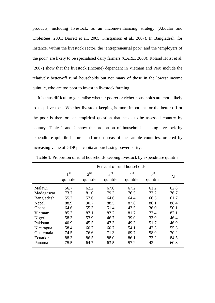products, including livestock, as an income-enhancing strategy (Abdulai and CroleRees, 2001; Barrett et al., 2005; Kristjanson et al., 2007). In Bangladesh, for instance, within the livestock sector, the 'entrepreneurial poor' and the 'employers of the poor' are likely to be specialised dairy farmers (CARE, 2008); Roland Holst et al. (2007) show that the livestock (income) dependant in Vietnam and Peru include the relatively better-off rural households but not many of those in the lowest income quintile, who are too poor to invest in livestock farming.

It is thus difficult to generalise whether poorer or richer households are more likely to keep livestock. Whether livestock-keeping is more important for the better-off or the poor is therefore an empirical question that needs to be assessed country by country. Table 1 and 2 show the proportion of households keeping livestock by expenditure quintile in rural and urban areas of the sample countries, ordered by increasing value of GDP per capita at purchasing power parity.

|            | Per cent of rural households |                             |                             |                             |                             |      |  |
|------------|------------------------------|-----------------------------|-----------------------------|-----------------------------|-----------------------------|------|--|
|            | 1 <sup>st</sup><br>quintile  | 2 <sup>nd</sup><br>quintile | 3 <sup>rd</sup><br>quintile | 4 <sup>th</sup><br>quintile | 5 <sup>th</sup><br>quintile | All  |  |
| Malawi     | 56.7                         | 62.2                        | 67.0                        | 67.2                        | 61.2                        | 62.8 |  |
| Madagascar | 73.7                         | 81.0                        | 79.3                        | 76.5                        | 73.2                        | 76.7 |  |
| Bangladesh | 55.2                         | 57.6                        | 64.6                        | 64.4                        | 66.5                        | 61.7 |  |
| Nepal      | 88.9                         | 90.7                        | 88.5                        | 87.8                        | 86.1                        | 88.4 |  |
| Ghana      | 64.6                         | 55.3                        | 51.4                        | 43.5                        | 36.0                        | 50.1 |  |
| Vietnam    | 85.3                         | 87.1                        | 83.2                        | 81.7                        | 73.4                        | 82.1 |  |
| Nigeria    | 58.3                         | 53.9                        | 46.7                        | 39.0                        | 33.9                        | 46.4 |  |
| Pakistan   | 40.9                         | 45.5                        | 47.3                        | 49.3                        | 51.7                        | 46.9 |  |
| Nicaragua  | 58.4                         | 60.7                        | 60.7                        | 54.1                        | 42.3                        | 55.3 |  |
| Guatemala  | 74.5                         | 76.6                        | 71.3                        | 69.7                        | 58.9                        | 70.2 |  |
| Ecuador    | 88.3                         | 86.5                        | 88.0                        | 86.1                        | 73.2                        | 84.5 |  |
| Panama     | 75.5                         | 64.7                        | 63.5                        | 57.2                        | 43.2                        | 60.8 |  |

**Table 1.** Proportion of rural households keeping livestock by expenditure quintile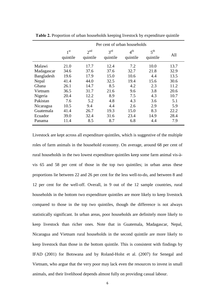|            | Per cent of urban households |                             |                             |                             |                             |      |
|------------|------------------------------|-----------------------------|-----------------------------|-----------------------------|-----------------------------|------|
|            | 1 <sup>st</sup><br>quintile  | 2 <sup>nd</sup><br>quintile | 3 <sup>rd</sup><br>quintile | 4 <sup>th</sup><br>quintile | 5 <sup>th</sup><br>quintile | All  |
| Malawi     | 21.0                         | 17.7                        | 12.4                        | 7.2                         | 10.0                        | 13.7 |
| Madagascar | 34.6                         | 37.6                        | 37.6                        | 32.7                        | 21.8                        | 32.9 |
| Bangladesh | 19.6                         | 17.9                        | 15.0                        | 10.6                        | 4.4                         | 13.5 |
| Nepal      | 41.4                         | 44.0                        | 32.5                        | 19.4                        | 15.6                        | 30.6 |
| Ghana      | 26.1                         | 14.7                        | 8.5                         | 4.2                         | 2.3                         | 11.2 |
| Vietnam    | 36.5                         | 31.7                        | 21.6                        | 9.6                         | 3.8                         | 20.6 |
| Nigeria    | 20.4                         | 12.2                        | 8.9                         | 7.5                         | 4.3                         | 10.7 |
| Pakistan   | 7.6                          | 5.2                         | 4.8                         | 4.3                         | 3.6                         | 5.1  |
| Nicaragua  | 10.5                         | 9.4                         | 4.4                         | 2.6                         | 2.9                         | 5.9  |
| Guatemala  | 41.4                         | 26.7                        | 19.3                        | 15.0                        | 8.3                         | 22.2 |
| Ecuador    | 39.0                         | 32.4                        | 31.6                        | 23.4                        | 14.9                        | 28.4 |
| Panama     | 11.4                         | 8.5                         | 8.7                         | 6.8                         | 4.4                         | 7.9  |

**Table 2.** Proportion of urban households keeping livestock by expenditure quintile

Livestock are kept across all expenditure quintiles, which is suggestive of the multiple roles of farm animals in the household economy. On average, around 68 per cent of rural households in the two lowest expenditure quintiles keep some farm animal vis-àvis 65 and 58 per cent of those in the top two quintiles; in urban areas these proportions lie between 22 and 26 per cent for the less well-to-do, and between 8 and 12 per cent for the well-off. Overall, in 9 out of the 12 sample countries, rural households in the bottom two expenditure quintiles are more likely to keep livestock compared to those in the top two quintiles, though the difference is not always statistically significant. In urban areas, poor households are definitely more likely to keep livestock than richer ones. Note that in Guatemala, Madagascar, Nepal, Nicaragua and Vietnam rural households in the second quintile are more likely to keep livestock than those in the bottom quintile. This is consistent with findings by IFAD (2001) for Botswana and by Roland-Holst et al. (2007) for Senegal and Vietnam, who argue that the very poor may lack even the resources to invest in small animals, and their livelihood depends almost fully on providing casual labour.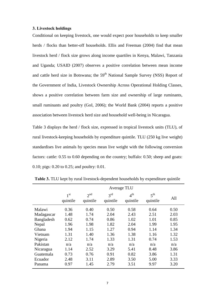#### **3. Livestock holdings**

Conditional on keeping livestock, one would expect poor households to keep smaller herds / flocks than better-off households. Ellis and Freeman (2004) find that mean livestock herd / flock size grows along income quartiles in Kenya, Malawi, Tanzania and Uganda; USAID (2007) observes a positive correlation between mean income and cattle herd size in Botswana; the  $59<sup>th</sup>$  National Sample Survey (NSS) Report of the Government of India, Livestock Ownership Across Operational Holding Classes, shows a positive correlation between farm size and ownership of large ruminants, small ruminants and poultry (GoI, 2006); the World Bank (2004) reports a positive association between livestock herd size and household well-being in Nicaragua.

Table 3 displays the herd / flock size, expressed in tropical livestock units (TLU), of rural livestock-keeping households by expenditure quintile. TLU (250 kg live weight) standardises live animals by species mean live weight with the following conversion factors: cattle: 0.55 to 0.60 depending on the country; buffalo: 0.50; sheep and goats: 0.10; pigs: 0.20 to 0.25; and poultry: 0.01.

|            | Average TLU                 |                      |                             |                             |                             |      |
|------------|-----------------------------|----------------------|-----------------------------|-----------------------------|-----------------------------|------|
|            | 1 <sup>st</sup><br>quintile | $2^{nd}$<br>quintile | 3 <sup>rd</sup><br>quintile | $4^{\text{th}}$<br>quintile | 5 <sup>th</sup><br>quintile | All  |
| Malawi     | 0.36                        | 0.40                 | 0.50                        | 0.58                        | 0.64                        | 0.50 |
| Madagascar | 1.48                        | 1.74                 | 2.04                        | 2.43                        | 2.51                        | 2.03 |
| Bangladesh | 0.62                        | 0.74                 | 0.86                        | 1.02                        | 1.01                        | 0.85 |
| Nepal      | 1.96                        | 1.98                 | 1.82                        | 2.04                        | 1.99                        | 1.95 |
| Ghana      | 1.94                        | 1.15                 | 1.27                        | 0.94                        | 1.14                        | 1.34 |
| Vietnam    | 1.31                        | 1.40                 | 1.36                        | 1.38                        | 1.16                        | 1.32 |
| Nigeria    | 2.12                        | 1.74                 | 1.33                        | 1.31                        | 0.74                        | 1.53 |
| Pakistan   | n/a                         | n/a                  | n/a                         | n/a                         | n/a                         | n/a  |
| Nicaragua  | 1.14                        | 2.52                 | 3.29                        | 5.41                        | 8.48                        | 3.86 |
| Guatemala  | 0.73                        | 0.76                 | 0.91                        | 0.82                        | 3.86                        | 1.31 |
| Ecuador    | 2.48                        | 3.11                 | 2.89                        | 3.50                        | 5.00                        | 3.33 |
| Panama     | 0.97                        | 1.45                 | 2.79                        | 3.51                        | 9.97                        | 3.20 |

**Table 3.** TLU kept by rural livestock-dependent households by expenditure quintile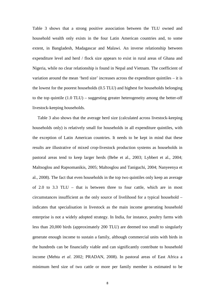Table 3 shows that a strong positive association between the TLU owned and household wealth only exists in the four Latin American countries and, to some extent, in Bangladesh, Madagascar and Malawi. An inverse relationship between expenditure level and herd / flock size appears to exist in rural areas of Ghana and Nigeria, while no clear relationship is found in Nepal and Vietnam. The coefficient of variation around the mean 'herd size' increases across the expenditure quintiles – it is the lowest for the poorest households (0.5 TLU) and highest for households belonging to the top quintile (1.0 TLU) – suggesting greater heterogeneity among the better-off livestock-keeping households.

Table 3 also shows that the average herd size (calculated across livestock-keeping households only) is relatively small for households in all expenditure quintiles, with the exception of Latin American countries. It needs to be kept in mind that these results are illustrative of mixed crop-livestock production systems as households in pastoral areas tend to keep larger herds (Bebe et al., 2003; Lybbert et al., 2004; Maltsoglou and Rapsomanikis, 2005; Maltosglou and Taniguchi, 2004; Nanyeenya et al., 2008). The fact that even households in the top two quintiles only keep an average of 2.0 to 3.3 TLU – that is between three to four cattle, which are in most circumstances insufficient as the only source of livelihood for a typical household – indicates that specialisation in livestock as the main income generating household enterprise is not a widely adopted strategy. In India, for instance, poultry farms with less than 20,000 birds (approximately 200 TLU) are deemed too small to singularly generate enough income to sustain a family, although commercial units with birds in the hundreds can be financially viable and can significantly contribute to household income (Mehta *et al*. 2002; PRADAN, 2008). In pastoral areas of East Africa a minimum herd size of two cattle or more per family member is estimated to be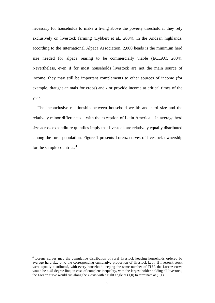necessary for households to make a living above the poverty threshold if they rely exclusively on livestock farming (Lybbert et al., 2004). In the Andean highlands, according to the International Alpaca Association, 2,000 heads is the minimum herd size needed for alpaca rearing to be commercially viable (ECLAC, 2004). Nevertheless, even if for most households livestock are not the main source of income, they may still be important complements to other sources of income (for example, draught animals for crops) and / or provide income at critical times of the year.

The inconclusive relationship between household wealth and herd size and the relatively minor differences – with the exception of Latin America – in average herd size across expenditure quintiles imply that livestock are relatively equally distributed among the rural population. Figure 1 presents Lorenz curves of livestock ownership for the sample countries.<sup>[4](#page-9-0)</sup>

-

<span id="page-9-0"></span><sup>4</sup> Lorenz curves map the cumulative distribution of rural livestock keeping households ordered by average herd size onto the corresponding cumulative proportion of livestock kept. If livestock stock were equally distributed, with every household keeping the same number of TLU, the Lorenz curve would be a 45-degree line; in case of complete inequality, with the largest holder holding all livestock, the Lorenz curve would run along the x-axis with a right angle at  $(1,0)$  to terminate at  $(1,1)$ .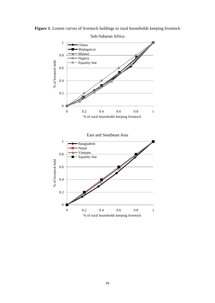

Figure 1. Lorenz curves of livestock holdings to rural households keeping livestock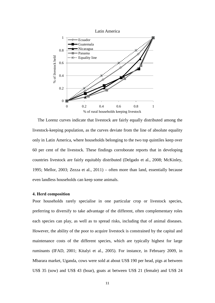

The Lorenz curves indicate that livestock are fairly equally distributed among the livestock-keeping population, as the curves deviate from the line of absolute equality only in Latin America, where households belonging to the two top quintiles keep over 60 per cent of the livestock. These findings corroborate reports that in developing countries livestock are fairly equitably distributed (Delgado et al., 2008; McKinley, 1995; Mellor, 2003; Zezza et al., 2011) – often more than land, essentially because even landless households can keep some animals.

#### **4. Herd composition**

Poor households rarely specialise in one particular crop or livestock species, preferring to diversify to take advantage of the different, often complementary roles each species can play, as well as to spread risks, including that of animal diseases. However, the ability of the poor to acquire livestock is constrained by the capital and maintenance costs of the different species, which are typically highest for large ruminants (IFAD, 2001; Kitalyi et al., 2005). For instance, in February 2009, in Mbarara market, Uganda, cows were sold at about US\$ 190 per head, pigs at between US\$ 35 (sow) and US\$ 43 (boar), goats at between US\$ 21 (female) and US\$ 24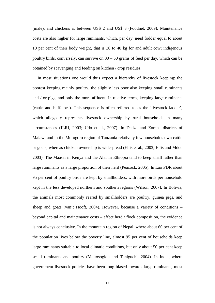(male), and chickens at between US\$ 2 and US\$ 3 (Foodnet, 2009). Maintenance costs are also higher for large ruminants, which, per day, need fodder equal to about 10 per cent of their body weight, that is 30 to 40 kg for and adult cow; indigenous poultry birds, conversely, can survive on 30 – 50 grams of feed per day, which can be obtained by scavenging and feeding on kitchen / crop residues.

In most situations one would thus expect a hierarchy of livestock keeping: the poorest keeping mainly poultry, the slightly less poor also keeping small ruminants and / or pigs, and only the more affluent, in relative terms, keeping large ruminants (cattle and buffaloes). This sequence is often referred to as the 'livestock ladder', which allegedly represents livestock ownership by rural households in many circumstances (ILRI, 2003; Udo et al., 2007). In Dedza and Zomba districts of Malawi and in the Morogoro region of Tanzania relatively few households own cattle or goats, whereas chicken ownership is widespread (Ellis et al., 2003; Ellis and Mdoe 2003). The Maasai in Kenya and the Afar in Ethiopia tend to keep small rather than large ruminants as a large proportion of their herd (Peacock, 2005). In Lao PDR about 95 per cent of poultry birds are kept by smallholders, with more birds per household kept in the less developed northern and southern regions (Wilson, 2007). In Bolivia, the animals most commonly reared by smallholders are poultry, guinea pigs, and sheep and goats (van't Hooft, 2004). However, because a variety of conditions – beyond capital and maintenance costs – affect herd / flock composition, the evidence is not always conclusive. In the mountain region of Nepal, where about 60 per cent of the population lives below the poverty line, almost 95 per cent of households keep large ruminants suitable to local climatic conditions, but only about 50 per cent keep small ruminants and poultry (Maltosoglou and Taniguchi, 2004). In India, where government livestock policies have been long biased towards large ruminants, most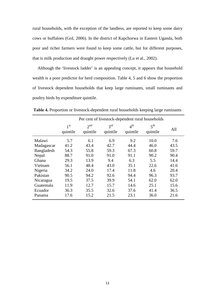rural households, with the exception of the landless, are reported to keep some dairy cows or buffaloes (GoI, 2006). In the district of Kapchorwa in Eastern Uganda, both poor and richer farmers were found to keep some cattle, but for different purposes, that is milk production and draught power respectively (Lu et al., 2002).

Although the 'livestock ladder' is an appealing concept, it appears that household wealth is a poor predictor for herd composition. Table 4, 5 and 6 show the proportion of livestock dependent households that keep large ruminants, small ruminants and poultry birds by expenditure quintile.

|            | Per cent of livestock-dependent rural households |                             |                             |                             |                             |      |  |
|------------|--------------------------------------------------|-----------------------------|-----------------------------|-----------------------------|-----------------------------|------|--|
|            | 1 <sup>st</sup><br>quintile                      | 2 <sup>nd</sup><br>quintile | 3 <sup>rd</sup><br>quintile | 4 <sup>th</sup><br>quintile | 5 <sup>th</sup><br>quintile | All  |  |
| Malawi     | 5.7                                              | 6.1                         | 6.9                         | 9.2                         | 10.0                        | 7.6  |  |
| Madagascar | 41.2                                             | 43.4                        | 42.7                        | 44.4                        | 46.0                        | 43.5 |  |
| Bangladesh | 54.3                                             | 55.8                        | 59.3                        | 67.3                        | 60.8                        | 59.7 |  |
| Nepal      | 88.7                                             | 91.0                        | 91.0                        | 91.1                        | 90.2                        | 90.4 |  |
| Ghana      | 29.3                                             | 13.9                        | 9.4                         | 6.3                         | 5.5                         | 14.4 |  |
| Vietnam    | 56.1                                             | 48.4                        | 43.0                        | 35.1                        | 22.6                        | 41.6 |  |
| Nigeria    | 34.2                                             | 24.0                        | 17.4                        | 11.8                        | 4.6                         | 20.4 |  |
| Pakistan   | 90.5                                             | 94.2                        | 92.6                        | 94.4                        | 96.3                        | 93.7 |  |
| Nicaragua  | 19.5                                             | 37.5                        | 39.9                        | 54.1                        | 62.0                        | 62.0 |  |
| Guatemala  | 11.9                                             | 12.7                        | 15.7                        | 14.6                        | 25.1                        | 15.6 |  |
| Ecuador    | 36.3                                             | 35.5                        | 32.6                        | 37.6                        | 41.4                        | 36.5 |  |
| Panama     | 17.6                                             | 15.2                        | 21.5                        | 23.1                        | 36.0                        | 21.6 |  |

**Table 4.** Proportion or livestock-dependent rural households keeping large ruminants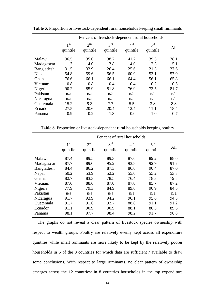|            | Per cent of livestock-dependent rural households |                             |                             |                             |                             |      |
|------------|--------------------------------------------------|-----------------------------|-----------------------------|-----------------------------|-----------------------------|------|
|            | 1 <sup>st</sup><br>quintile                      | 2 <sup>nd</sup><br>quintile | 3 <sup>rd</sup><br>quintile | $4^{\text{th}}$<br>quintile | 5 <sup>th</sup><br>quintile | All  |
| Malawi     | 36.5                                             | 35.0                        | 38.7                        | 41.2                        | 39.3                        | 38.1 |
| Madagascar | 11.3                                             | 4.0                         | 3.8                         | 4.0                         | 2.3                         | 5.1  |
| Bangladesh | 31.5                                             | 32.9                        | 26.4                        | 25.6                        | 21.3                        | 27.6 |
| Nepal      | 54.8                                             | 59.6                        | 56.5                        | 60.9                        | 53.1                        | 57.0 |
| Ghana      | 76.6                                             | 66.1                        | 66.1                        | 64.4                        | 56.1                        | 65.8 |
| Vietnam    | 0.8                                              | 0.8                         | 0.4                         | 0.4                         | 0.2                         | 0.5  |
| Nigeria    | 90.2                                             | 85.9                        | 81.8                        | 76.9                        | 73.5                        | 81.7 |
| Pakistan   | n/a                                              | n/a                         | n/a                         | n/a                         | n/a                         | n/a  |
| Nicaragua  | n/a                                              | n/a                         | n/a                         | n/a                         | n/a                         | n/a  |
| Guatemala  | 15.2                                             | 9.3                         | 7.7                         | 5.5                         | 3.8                         | 8.3  |
| Ecuador    | 27.5                                             | 20.6                        | 20.4                        | 12.4                        | 11.1                        | 18.4 |
| Panama     | 0.9                                              | 0.2                         | 1.3                         | 0.0                         | 1.0                         | 0.7  |

**Table 5.** Proportion or livestock-dependent rural households keeping small ruminants

**Table 6.** Proportion or livestock-dependent rural households keeping poultry

|            | Per cent of rural households |                             |                             |                             |                             |      |  |
|------------|------------------------------|-----------------------------|-----------------------------|-----------------------------|-----------------------------|------|--|
|            | 1 <sub>st</sub><br>quintile  | 2 <sup>nd</sup><br>quintile | 3 <sup>rd</sup><br>quintile | 4 <sup>th</sup><br>quintile | 5 <sup>th</sup><br>quintile | All  |  |
| Malawi     | 87.4                         | 89.5                        | 89.3                        | 87.6                        | 89.2                        | 88.6 |  |
| Madagascar | 87.7                         | 89.0                        | 95.2                        | 93.8                        | 92.9                        | 91.7 |  |
| Bangladesh | 84.4                         | 86.2                        | 87.3                        | 86.6                        | 90.4                        | 87.0 |  |
| Nepal      | 50.2                         | 53.9                        | 52.2                        | 55.0                        | 55.2                        | 53.3 |  |
| Ghana      | 82.7                         | 83.3                        | 78.5                        | 76.4                        | 78.3                        | 79.8 |  |
| Vietnam    | 87.6                         | 88.6                        | 87.0                        | 87.0                        | 85.7                        | 87.2 |  |
| Nigeria    | 77.9                         | 79.3                        | 84.9                        | 89.6                        | 90.9                        | 84.5 |  |
| Pakistan   | n/a                          | n/a                         | n/a                         | n/a                         | n/a                         | n/a  |  |
| Nicaragua  | 91.7                         | 93.9                        | 94.2                        | 96.1                        | 95.6                        | 94.3 |  |
| Guatemala  | 91.7                         | 91.6                        | 92.7                        | 88.8                        | 91.1                        | 91.2 |  |
| Ecuador    | 91.1                         | 90.9                        | 90.9                        | 88.1                        | 86.3                        | 89.5 |  |
| Panama     | 98.1                         | 97.7                        | 98.4                        | 98.2                        | 91.7                        | 96.8 |  |

The graphs do not reveal a clear pattern of livestock species ownership with respect to wealth groups. Poultry are relatively evenly kept across all expenditure quintiles while small ruminants are more likely to be kept by the relatively poorer households in 6 of the 8 countries for which data are sufficient / available to draw some conclusions. With respect to large ruminants, no clear pattern of ownership emerges across the 12 countries: in 8 countries households in the top expenditure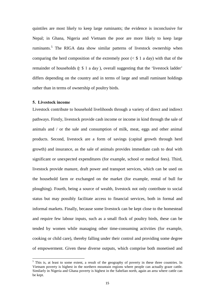quintiles are most likely to keep large ruminants; the evidence is inconclusive for Nepal; in Ghana, Nigeria and Vietnam the poor are more likely to keep large ruminants.<sup>[5](#page-15-0)</sup> The RIGA data show similar patterns of livestock ownership when comparing the herd composition of the extremely poor  $( $\$ 1 \text{ a day})$  with that of the$ remainder of households  $\xi$  \$ 1 a day ), overall suggesting that the 'livestock ladder' differs depending on the country and in terms of large and small ruminant holdings rather than in terms of ownership of poultry birds.

#### **5. Livestock income**

<u>.</u>

Livestock contribute to household livelihoods through a variety of direct and indirect pathways. Firstly, livestock provide cash income or income in kind through the sale of animals and / or the sale and consumption of milk, meat, eggs and other animal products. Second, livestock are a form of savings (capital growth through herd growth) and insurance, as the sale of animals provides immediate cash to deal with significant or unexpected expenditures (for example, school or medical fees). Third, livestock provide manure, draft power and transport services, which can be used on the household farm or exchanged on the market (for example, rental of bull for ploughing). Fourth, being a source of wealth, livestock not only contribute to social status but may possibly facilitate access to financial services, both in formal and informal markets. Finally, because some livestock can be kept close to the homestead and require few labour inputs, such as a small flock of poultry birds, these can be tended by women while managing other time-consuming activities (for example, cooking or child care), thereby falling under their control and providing some degree of empowerment. Given these diverse outputs, which comprise both monetised and

<span id="page-15-0"></span> $<sup>5</sup>$  This is, at least to some extent, a result of the geography of poverty in these three countries. In</sup> Vietnam poverty is highest in the northern mountain regions where people can actually graze cattle. Similarly in Nigeria and Ghana poverty is highest in the Sahelian north, again an area where cattle can be kept.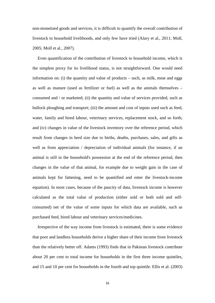non-monetised goods and services, it is difficult to quantify the overall contribution of livestock to household livelihoods, and only few have tried (Alary et al., 2011; Moll, 2005; Moll et al., 2007).

Even quantification of the contribution of livestock to household income, which is the simplest proxy for its livelihood status, is not straightforward. One would need information on: (i) the quantity and value of products – such, as milk, meat and eggs as well as manure (used as fertilizer or fuel) as well as the animals themselves – consumed and / or marketed; (ii) the quantity and value of services provided, such as bullock ploughing and transport; (iii) the amount and cost of inputs used such as feed, water, family and hired labour, veterinary services, replacement stock, and so forth; and (iv) changes in value of the livestock inventory over the reference period, which result from changes in herd size due to births, deaths, purchases, sales, and gifts as well as from appreciation / depreciation of individual animals (for instance, if an animal is still in the household's possession at the end of the reference period, then changes in the value of that animal, for example due to weight gain in the case of animals kept for fattening, need to be quantified and enter the livestock-income equation). In most cases, because of the paucity of data, livestock income is however calculated as the total value of production (either sold or both sold and selfconsumed) net of the value of some inputs for which data are available, such as purchased feed, hired labour and veterinary services/medicines.

Irrespective of the way income from livestock is estimated, there is some evidence that poor and landless households derive a higher share of their income from livestock than the relatively better off. Adams (1993) finds that in Pakistan livestock contribute about 20 per cent to total income for households in the first three income quintiles, and 15 and 10 per cent for households in the fourth and top quintile. Ellis et al. (2003)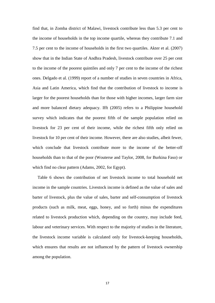find that, in Zomba district of Malawi, livestock contribute less than 5.3 per cent to the income of households in the top income quartile, whereas they contribute 7.1 and 7.5 per cent to the income of households in the first two quartiles. Akter et al. (2007) show that in the Indian State of Andhra Pradesh, livestock contribute over 25 per cent to the income of the poorest quintiles and only 7 per cent to the income of the richest ones. Delgado et al. (1999) report of a number of studies in seven countries in Africa, Asia and Latin America, which find that the contribution of livestock to income is larger for the poorest households than for those with higher incomes, larger farm size and more balanced dietary adequacy. Ifft (2005) refers to a Philippine household survey which indicates that the poorest fifth of the sample population relied on livestock for 23 per cent of their income, while the richest fifth only relied on livestock for 10 per cent of their income. However, there are also studies, albeit fewer, which conclude that livestock contribute more to the income of the better-off households than to that of the poor (Wouterse and Taylor, 2008, for Burkina Faso) or which find no clear pattern (Adams, 2002, for Egypt).

Table 6 shows the contribution of net livestock income to total household net income in the sample countries. Livestock income is defined as the value of sales and barter of livestock, plus the value of sales, barter and self-consumption of livestock products (such as milk, meat, eggs, honey, and so forth) minus the expenditures related to livestock production which, depending on the country, may include feed, labour and veterinary services. With respect to the majority of studies in the literature, the livestock income variable is calculated only for livestock-keeping households, which ensures that results are not influenced by the pattern of livestock ownership among the population.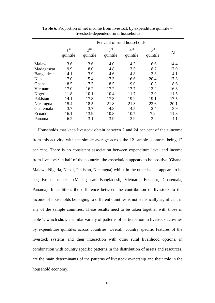|            | Per cent of rural households |                      |                             |                             |                             |      |
|------------|------------------------------|----------------------|-----------------------------|-----------------------------|-----------------------------|------|
|            | 1 <sub>st</sub><br>quintile  | $2^{nd}$<br>quintile | 3 <sup>rd</sup><br>quintile | 4 <sup>th</sup><br>quintile | 5 <sup>th</sup><br>quintile | All  |
| Malawi     | 13.6                         | 13.6                 | 14.0                        | 14.3                        | 16.6                        | 14.4 |
| Madagascar | 19.9                         | 18.0                 | 14.8                        | 13.5                        | 18.7                        | 17.0 |
| Bangladesh | 4.1                          | 3.9                  | 4.6                         | 4.8                         | 3.3                         | 4.1  |
| Nepal      | 17.0                         | 15.4                 | 17.3                        | 16.6                        | 20.4                        | 17.3 |
| Ghana      | 8.5                          | 7.3                  | 8.5                         | 9.0                         | 10.3                        | 8.6  |
| Vietnam    | 17.0                         | 16.2                 | 17.2                        | 17.7                        | 13.2                        | 16.3 |
| Nigeria    | 11.8                         | 10.1                 | 10.4                        | 11.7                        | 13.9                        | 11.5 |
| Pakistan   | 14.1                         | 17.3                 | 17.3                        | 19.2                        | 19.1                        | 17.5 |
| Nicaragua  | 15.4                         | 18.5                 | 21.8                        | 21.3                        | 23.6                        | 20.1 |
| Guatemala  | 3.7                          | 3.7                  | 4.8                         | 4.5                         | 2.4                         | 3.9  |
| Ecuador    | 16.1                         | 13.9                 | 10.8                        | 10.7                        | 7.2                         | 11.8 |
| Panama     | 6.2                          | 3.1                  | 3.9                         | 3.9                         | 2.2                         | 4.1  |

**Table 6.** Proportion of net income from livestock by expenditure quintile – livestock-dependent rural households

Households that keep livestock obtain between 2 and 24 per cent of their income from this activity, with the simple average across the 12 sample countries being 12 per cent. There is no consistent association between expenditure level and income from livestock: in half of the countries the association appears to be positive (Ghana, Malawi, Nigeria, Nepal, Pakistan, Nicaragua) whilst in the other half it appears to be negative or unclear (Madagascar, Bangladesh, Vietnam, Ecuador, Guatemala, Panama). In addition, the difference between the contribution of livestock to the income of households belonging to different quintiles is not statistically significant in any of the sample countries. These results need to be taken together with those in table 1, which show a similar variety of patterns of participation in livestock activities by expenditure quintiles across countries. Overall, country specific features of the livestock systems and their interaction with other rural livelihood options, in combination with country specific patterns in the distribution of assets and resources, are the main determinants of the patterns of livestock ownership and their role in the household economy.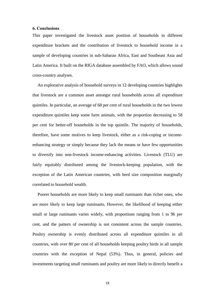#### **6. Conclusions**

This paper investigated the livestock asset position of households in different expenditure brackets and the contribution of livestock to household income in a sample of developing countries in sub-Saharan Africa, East and Southeast Asia and Latin America. It built on the RIGA database assembled by FAO, which allows sound cross-country analyses.

An explorative analysis of household surveys in 12 developing countries highlights that livestock are a common asset amongst rural households across all expenditure quintiles. In particular, an average of 68 per cent of rural households in the two lowest expenditure quintiles keep some farm animals, with the proportion decreasing to 58 per cent for better-off households in the top quintile. The majority of households, therefore, have some motives to keep livestock, either as a risk-coping or incomeenhancing strategy or simply because they lack the means or have few opportunities to diversify into non-livestock income-enhancing activities. Livestock (TLU) are fairly equitably distributed among the livestock-keeping population, with the exception of the Latin American countries, with herd size composition marginally correlated to household wealth.

Poorer households are more likely to keep small ruminants than richer ones, who are more likely to keep large ruminants. However, the likelihood of keeping either small or large ruminants varies widely, with proportions ranging from 1 to 96 per cent, and the pattern of ownership is not consistent across the sample countries. Poultry ownership is evenly distributed across all expenditure quintiles in all countries, with over 80 per cent of all households keeping poultry birds in all sample countries with the exception of Nepal (53%). Thus, in general, policies and investments targeting small ruminants and poultry are more likely to directly benefit a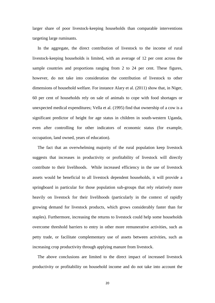larger share of poor livestock-keeping households than comparable interventions targeting large ruminants.

In the aggregate, the direct contribution of livestock to the income of rural livestock-keeping households is limited, with an average of 12 per cent across the sample countries and proportions ranging from 2 to 24 per cent. These figures, however, do not take into consideration the contribution of livestock to other dimensions of household welfare. For instance Alary et al. (2011) show that, in Niger, 60 per cent of households rely on sale of animals to cope with food shortages or unexpected medical expenditures; Vella et al. (1995) find that ownership of a cow is a significant predictor of height for age status in children in south-western Uganda, even after controlling for other indicators of economic status (for example, occupation, land owned, years of education).

The fact that an overwhelming majority of the rural population keep livestock suggests that increases in productivity or profitability of livestock will directly contribute to their livelihoods. While increased efficiency in the use of livestock assets would be beneficial to all livestock dependent households, it will provide a springboard in particular for those population sub-groups that rely relatively more heavily on livestock for their livelihoods (particularly in the context of rapidly growing demand for livestock products, which grows considerably faster than for staples). Furthermore, increasing the returns to livestock could help some households overcome threshold barriers to entry in other more remunerative activities, such as petty trade, or facilitate complementary use of assets between activities, such as increasing crop productivity through applying manure from livestock.

The above conclusions are limited to the direct impact of increased livestock productivity or profitability on household income and do not take into account the

20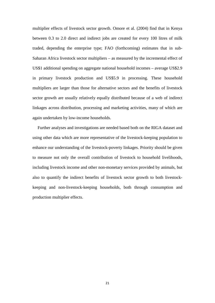multiplier effects of livestock sector growth. Omore et al. (2004) find that in Kenya between 0.3 to 2.0 direct and indirect jobs are created for every 100 litres of milk traded, depending the enterprise type; FAO (forthcoming) estimates that in sub-Saharan Africa livestock sector multipliers – as measured by the incremental effect of US\$1 additional spending on aggregate national household incomes – average US\$2.9 in primary livestock production and US\$5.9 in processing. These household multipliers are larger than those for alternative sectors and the benefits of livestock sector growth are usually relatively equally distributed because of a web of indirect linkages across distribution, processing and marketing activities, many of which are again undertaken by low-income households.

Further analyses and investigations are needed based both on the RIGA dataset and using other data which are more representative of the livestock-keeping population to enhance our understanding of the livestock-poverty linkages. Priority should be given to measure not only the overall contribution of livestock to household livelihoods, including livestock income and other non-monetary services provided by animals, but also to quantify the indirect benefits of livestock sector growth to both livestockkeeping and non-livestock-keeping households, both through consumption and production multiplier effects.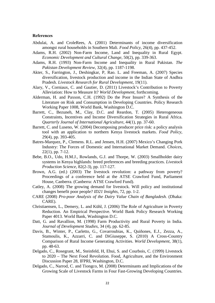#### **References**

- Abdulai, A. and CroleRees, A. (2001) Determinants of income diversification amongst rural households in Southern Mali. *Food Policy*, 26(4), pp. 437-452.
- Adams, R.H. (2002) Non-Farm Income, Land and Inequality in Rural Egypt. *Economic Development and Cultural Change*, 50(2), pp. 339-363.
- Adams, R.H. (1993) Non-Farm Income and Inequality in Rural Pakistan. *The Pakistan Development Review*, 32(4), pp. 1187-1198.
- Akter, S., Farrington, J., Deshingkar, P, Rao. L. and Freeman, A. (2007) Species diversification, livestock production and income in the Indian State of Andhra Pradesh. *Livestock Research for Rural Development*, 19(11).
- Alary, V., Corniaux, C. and Gautier, D. (2011) Livestock's Contribution to Poverty Alleviation: How to Measure It? *World Development*, forthcoming.
- Alderman, H. and Paxson, C.H. (1992) Do the Poor Insure? A Synthesis of the Literature on Risk and Consumption in Developing Countries. Policy Research Working Paper 1008, World Bank, Washington D.C.
- Barrett, C., Bezuneh, M., Clay, D.C. and Reardon, T. (2005) Heterogeneous Constraints, Incentives and Income Diversification Strategies in Rural Africa. *Quarterly Journal of International Agriculture*, 44(1), pp. 37-60.
- Barrett, C. and Luseno, W. (2004) Decomposing producer price risk: a policy analysis tool with an application to northern Kenya livestock markets. *Food Policy*, 29(4), pp. 393-405.
- Batres-Marquez, P., Clemens. R.L. and Jensen, H.H. (2007) Mexico's Changing Pork Industry: The Forces of Domestic and International Market Demand. *Choices*, 22(1), pp. 7-12.
- Bebe, B.O., Udo, H.M.J., Rowlands, G.J. and Thorpe, W. (2003) Smallholder dairy systems in Kenya highlands: breed preferences and breeding practices. *Livestock Production Science*, 82(2-3), pp. 117-127.
- Brown, A.G. (ed.) (2003) The livestock revolution: a pathway from poverty? Proceedings of a conference held at the ATSE Crawford Fund, Parliament House, Canberra. (Canberra: ATSE Crawford Fund).
- Catley, A. (2008) The growing demand for livestock. Will policy and institutional changes benefit poor people? *ID21 Insights*, 72, pp. 1-2.
- CARE (2008) *Pro-poor Analysis of the Dairy Value Chain of Bangladesh.* (Dhaka: CARE).
- Christiaensen, L., Demery, L. and Kühl, J. (2006) The Role of Agriculture in Poverty Reduction. An Empirical Perspective. World Bank Policy Research Working Paper 4013. World Bank, Washington D.C.
- Datt, G. and Ravallion, M. (1998) Farm Productivity and Rural Poverty in India. *Journal of Development Studies*, 34 (4), pp. 62-85.
- Davis, B., Winter, P., Carletto, G., Covarroubias, K., Quiñones, E.J., Zezza, A., Stamoulis, K., Azzarri, C. and DiGiuseppe, S. (2010) A Cross-Country Comparison of Rural Income Generating Activities. *World Development*, 38(1), pp. 48-63.
- Delgado, C., Rosegrant, M., Steinfeld, H, Ehui, S. and Courbois, C. (1999) Livestock to 2020 – The Next Food Revolution. Food, Agriculture, and the Environment Discussion Paper 28, IFPRI, Washington, D.C.
- Delgado, C., Narrod, C. and Tiongco, M. (2008) Determinants and Implications of the Growing Scale of Livestock Farms in Four Fast-Growing Developing Countries.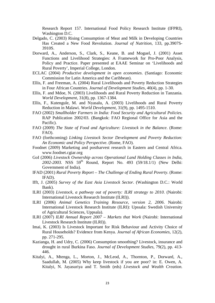Research Report 157. International Food Policy Research Institute (IFPRI), Washington D.C.

- Delgado, C. (2003) Rising Consumption of Meat and Milk in Developing Countries Has Created a New Food Revolution. *Journal of Nutrition*, 133, pp.3907S-3910S.
- Dorward, A., Anderson, S., Clark, S., Keane, B. and Moguel, J. (2001) Asset Functions and Livelihood Strategies: A Framework for Pro-Poor Analysis, Policy and Practice. Paper presented at EAAE Seminar on 'Livelihoods and Rural Poverty', Imperial College, London.
- ECLAC (2004) *Productive development in open economies*. (Santiago: Economic Commission for Latin America and the Caribbean).
- Ellis, F. and Freeman, A. (2004) Rural Livelihoods and Poverty Reduction Strategies in Four African Countries. *Journal of Development Studies*, 40(4), pp. 1-30.
- Ellis, F. and Mdoe, N. (2003) Livelihoods and Rural Poverty Reduction in Tanzania. *World Development*, 31(8), pp. 1367-1384.
- Ellis, F., Kutengule, M. and Nyasalu, A. (2003) Livelihoods and Rural Poverty Reduction in Malawi. *World Development*, 31(9), pp. 1495-1510.
- FAO (2002) *Smallholder Farmers in India: Food Security and Agricultural Policies.* RAP Publication 2002/03. (Bangkok: FAO Regional Office for Asia and the Pacific).
- FAO (2009) *The State of Food and Agriculture: Livestock in the Balance*. (Rome: FAO).
- FAO (forthcoming) *Linking Livestock Sector Development and Poverty Reduction: An Economic and Policy Perspective*. (Rome, FAO).
- Foodnet (2009) Marketing and postharvest research in Eastern and Central Africa. www.foodnet.cgiar.org
- GoI (2006) *Livestock Ownership across Operational Land Holding Classes in India, 2002-2003.* NSS 59th Round, Report No. 493 (59/18.1/1) (New Delhi: Government of India).
- IFAD (2001) *Rural Poverty Report The Challenge of Ending Rural Poverty*. (Rome: IFAD).
- Ifft, J. (2005) *Survey of the East Asia Livestock Sector*. (Washington D.C.: World Bank).
- ILRI (2003) *Livestock, a pathway out of poverty: ILRI strategy to 2010*. (Nairobi: International Livestock Research Institute (ILRI)).
- ILRI (2006) *Animal Genetics Training Resource, version 2, 2006*. Nairobi: International Livestock Research Institute (ILRI): Upssala: Swedish University of Agricultural Sciences, Uppsala).
- ILRI (2007) *ILRI Annual Report 2007 Markets that Work* (Nairobi: International Livestock Research Institute (ILRI)).
- Imai, K. (2003) Is Livestock Important for Risk Behaviour and Activity Choice of Rural Households? Evidence from Kenya. *Journal of African Economies*, 12(2), pp. 271-295.
- Kazianga, H. and Udry, C. (2006) Consumption smoothing? Livestock, insurance and drought in rural Burkina Faso. *Journal of Development Studies*, 79(2), pp. 413- 446.
- Kitalyi, A., Mtenga, L., Morton, J., McLeod, A., Thornton, P., Dorward, A., Saadullah, M. (2005) Why keep livestock if you are poor? in: E. Owen, A. Kitalyi, N. Jayasuriya and T. Smith (eds) *Livestock and Wealth Creation.*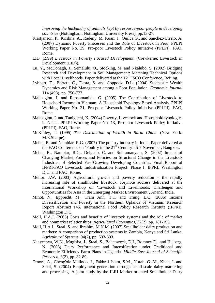*Improving the husbandry of animals kept by resource-poor people in developing countries* (Nottingham: Nottingham University Press), pp.13-27.

- Kristianson, P., Krishna, A., Radeny, M. Kuan, J., Quilca G., and Sanchez-Urrelo, A. (2007) Dynamic Poverty Processes and the Role of Livestock in Peru. PPLPI Working Paper No. 39, Pro-poor Livestock Policy Initiative (PPLPI), FAO, Rome.
- LID (1999) *Livestock in Poverty Focused Development.* (Crewkerne: Livestock in Development (LID)).
- Lu, Y., McDonagh, J., Semalulu, O., Stocking, M. and Nkalubo, S. (2002) Bridging Research and Development in Soil Management: Matching Technical Options with Local Livelihoods. Paper delivered at the  $12<sup>th</sup>$  ISCO Conference, Beijing.
- Lybbert, T., Barrett, C., Desta, S. and Coppock, D.L. (2004) Stochastic Wealth Dynamics and Risk Management among a Poor Population. *Economic Journal* 114 (498), pp. 750-777.
- Maltsoglou, I. and Rapsomanikis, G. (2005) The Contribution of Livestock to Household Income in Vietnam: A Household Typology Based Analysis. PPLPI Working Paper No. 21, Pro-poor Livestock Policy Initiative (PPLPI), FAO, Rome.
- Maltsoglou, I. and Taniguchi, K. (2004) Poverty, Livestock and Household typologies in Nepal. PPLPI Working Paper No. 13, Pro-poor Livestock Policy Initiative (PPLPI), FAO, Rome.
- McKinley, T. (1995) *The Distribution of Wealth in Rural China.* (New York: M.E.Sharpe).
- Mehta, R. and Nambiar, R.G. (2007) The poultry industry in India. Paper delivered at the FAO Conference on 'Poultry in the 21<sup>st</sup> Century'. 5-7 November, Bangkok.
- Mehta, R., Nambiar, R.G., Delgado, C. and Subramanyam, S. (2002) Impact of Changing Market Forces and Policies on Structural Change in the Livestock Industries of Selected Fast-Growing Developing Countries. Final Report of IFPRI-FAO Livestock Industrialization Project: Phase I. IFPRI, Washington D.C. and FAO, Rome.
- Mellor, J.W. (2003) Agricultural growth and poverty reduction the rapidly increasing role of smallholder livestock. Keynote address delivered at the International Workshop on 'Livestock and Livelihoods: Challenges and Opportunities for Asia in the Emerging Market Environment', Anand, India.
- Minot, N., Epprecht, M., Tram Anh, T.T. and Trung, L.Q. (2006) Income Diversification and Poverty in the Northern Uplands of Vietnam. Research Report Abstract 145. International Food Policy Research Institute (IFPRI), Washington D.C.
- Moll, H.A.J. (2005) Costs and benefits of livestock systems and the role of market and nonmarket relationships. *Agricultural Economics*, 32(2), pp. 181-193.
- Moll, H.A.J., Staal, S. and Ibrahim, M.N.M. (2007) Smallholder dairy production and markets: A comparison of production systems in Zambia, Kenya and Sri Lanka. *Agricultural Systems*, 94(2), pp. 593-603.
- Nanyeenya, W.N., Mugisha, J., Staal, S., Baltenweck, D.I., Romney D., and Halberg, N. (2008) Dairy Performance and Intensification under Traditional and Economic Efficiency Farm Plans in Uganda. *Middle East Journal of Scientific Research*, 3(2), pp. 82-89.
- Omore, A., Cheng'ole Mulindo, J., Fakhrul Islam, S.M., Nurah. G. M., Khan, I. and Staal, S. (2004) Employment generation through small-scale dairy marketing and processing. A joint study by the ILRI Market-oriented Smallholder Dairy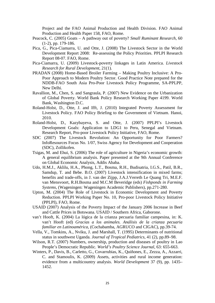Project and the FAO Animal Production and Health Division. FAO Animal Production and Health Paper 158, FAO, Rome.

- Peacock, C. (2005) Goats A pathway out of poverty? *Small Ruminant Research*, 60 (1-2), pp. 179-186.
- Pica, G., Pica-Ciamarra, U. and Otte, J. (2008) The Livestock Sector in the World Development Report 2008: Re-assessing the Policy Priorities. PPLPI Research Report 08-07. FAO, Rome.
- Pica-Ciamarra, U. (2009) Livestock-poverty linkages in Latin America. *Livestock Research for Rural Development*, 21(1).
- PRADAN (2008) Home-Based Broiler Farming Making Poultry Inclusive: A Pro-Poor Approach to Modern Poultry Sector. Good Practice Note prepared for the NDDB-FAO South Asia Pro-Poor Livestock Policy Programme, SA-PPLPP, New Delhi.
- Ravallion, M., Chen, S. and Sangraula, P. (2007) New Evidence on the Urbanization of Global Poverty. World Bank Policy Research Working Paper 4199. World Bank, Washington D.C.
- Roland-Holst, D., Otte, J. and Ifft, J. (2010) Integrated Poverty Assessment for Livestock Policy. FAO Policy Briefing to the Government of Vietnam. Hanoi, 2010.
- Roland-Holst, D., Kazybayeva, S. and Otte, J. (2007) PPLPI's Livestock Development Goals: Application to LDG1 to Peru, Senegal and Vietnam. Research Report, Pro-poor Livestock Policy Initiative, FAO, Rome.
- SDC (2007) The Livestock Revolution: An Opportunity for Poor Farmers? InfoResources Focus No. 1/07, Swiss Agency for Development and Cooperation (SDC), Zollikofen.
- Tsigas, M. and Ehui, S. (2006) The role of agriculture in Nigeria's economic growth: A general equilibrium analysis. Paper presented at the 9th Annual Conference on Global Economic Analysis, Addis Ababa.
- Udo, H.M.J., Aklilu, H.A., Phong, L.T., Bosma, R.H., Budisatria, I.G.S., Patil, B.R., Samdup, T. and Bebe. B.O. (2007) Livestock intensification in mixed farms; benefits and trade-offs, in J. van der Zijpp, J.A.J.Verreth Le Quang Tri, M.E.F. van Mensvoort, R.H.Bosma and M.C.M Beveridge (eds) *Fishponds in Farming Systems*, (Wageningen: Wageningen Academic Publishers), pp.271-280.
- Upton, M. (2004) The Role of Livestock in Economic Development and Poverty Reduction. PPLPI Working Paper No. 10, Pro-poor Livestock Policy Initiative (PPLPI), FAO, Rome.
- USAID (2007) Analysis of the Poverty Impact of the January 2006 Increase in Beef and Cattle Prices in Botswana. USAID / Southern Africa, Gaborone.
- van't Hooft, K. (2004) La lógica de la crianza pecuaria familiar campesina, in: K. van't Hooft (ed) *Gracias a los animales. Análisis de la crianza pecuaria familiar en Latinoamérica*, (Cochabamba, AGRUCO and CIGAC), pp.39-74.
- Vella, V., Tomkins, A., Nviku, J. and Marshall, T. (1995) Determinants of nutritional status in southwest Uganda. *Journal of Tropical Pediatrics*, 41 (2), pp.89–98.
- Wilson, R.T. (2007) Numbers, ownership, production and diseases of poultry in Lao People's Democratic Republic. *World's Poultry Science Journal*, 63: 655-663.
- Winters, P., Davis, B., Carletto, G., Covarrubias, K., Quiñones, E., Zezza, A., Azzarri, C. and Stamoulis, K. (2009) Assets, activities and rural income generation: evidence from a multicountry analysis. *World Development* 37 (9), pp. 1435– 1452.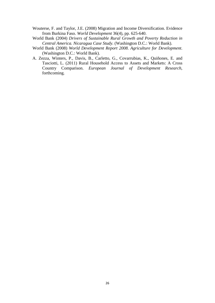- Wouterse, F. and Taylor, J.E. (2008) Migration and Income Diversification. Evidence from Burkina Faso. *World Development* 36(4), pp. 625-640.
- World Bank (2004) *Drivers of Sustainable Rural Growth and Poverty Reduction in Central America. Nicaragua Case Study.* (Washington D.C.: World Bank).
- World Bank (2008) *World Development Report 2008. Agriculture for Development*. (Washington D.C.: World Bank).
- A. Zezza, Winters, P., Davis, B., Carletto, G., Covarrubias, K., Quiñones, E. and Tasciotti, L. (2011) Rural Household Access to Assets and Markets: A Cross Country Comparison. *European Journal of Development Research*, forthcoming.